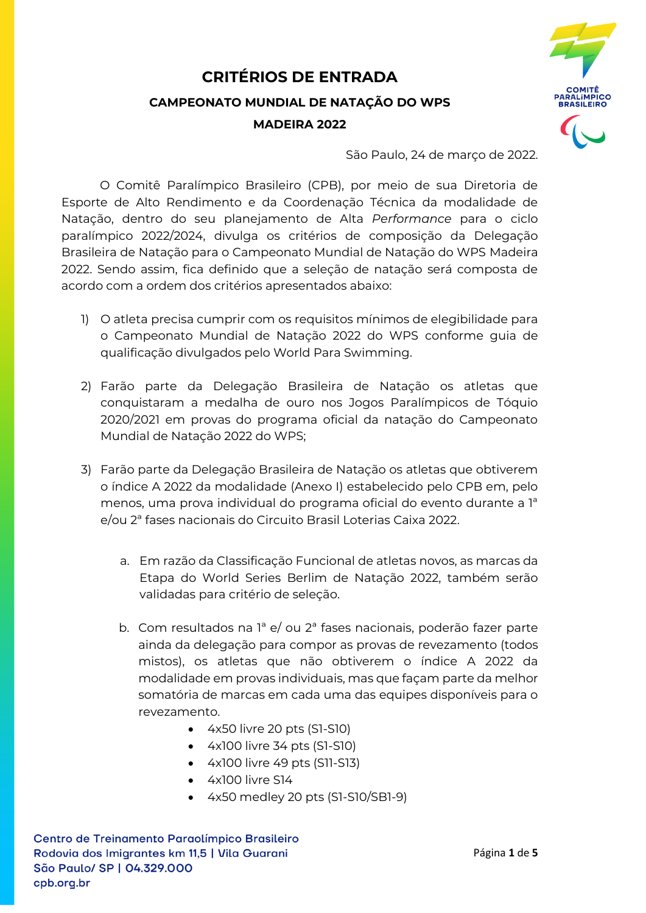## **CRITÉRIOS DE ENTRADA CAMPEONATO MUNDIAL DE NATAÇÃO DO WPS MADEIRA 2022**



São Paulo, 24 de março de 2022.

O Comitê Paralímpico Brasileiro (CPB), por meio de sua Diretoria de Esporte de Alto Rendimento e da Coordenação Técnica da modalidade de Natação, dentro do seu planejamento de Alta *Performance* para o ciclo paralímpico 2022/2024, divulga os critérios de composição da Delegação Brasileira de Natação para o Campeonato Mundial de Natação do WPS Madeira 2022. Sendo assim, fica definido que a seleção de natação será composta de acordo com a ordem dos critérios apresentados abaixo:

- 1) O atleta precisa cumprir com os requisitos mínimos de elegibilidade para o Campeonato Mundial de Natação 2022 do WPS conforme guia de qualificação divulgados pelo World Para Swimming.
- 2) Farão parte da Delegação Brasileira de Natação os atletas que conquistaram a medalha de ouro nos Jogos Paralímpicos de Tóquio 2020/2021 em provas do programa oficial da natação do Campeonato Mundial de Natação 2022 do WPS;
- 3) Farão parte da Delegação Brasileira de Natação os atletas que obtiverem o índice A 2022 da modalidade (Anexo I) estabelecido pelo CPB em, pelo menos, uma prova individual do programa oficial do evento durante a 1ª e/ou 2ª fases nacionais do Circuito Brasil Loterias Caixa 2022.
	- a. Em razão da Classificação Funcional de atletas novos, as marcas da Etapa do World Series Berlim de Natação 2022, também serão validadas para critério de seleção.
	- b. Com resultados na 1ª e/ ou 2ª fases nacionais, poderão fazer parte ainda da delegação para compor as provas de revezamento (todos mistos), os atletas que não obtiverem o índice A 2022 da modalidade em provas individuais, mas que façam parte da melhor somatória de marcas em cada uma das equipes disponíveis para o revezamento.
		- 4x50 livre 20 pts (S1-S10)
		- 4x100 livre 34 pts (S1-S10)
		- 4x100 livre 49 pts (S11-S13)
		- 4x100 livre S14
		- 4x50 medley 20 pts (S1-S10/SB1-9)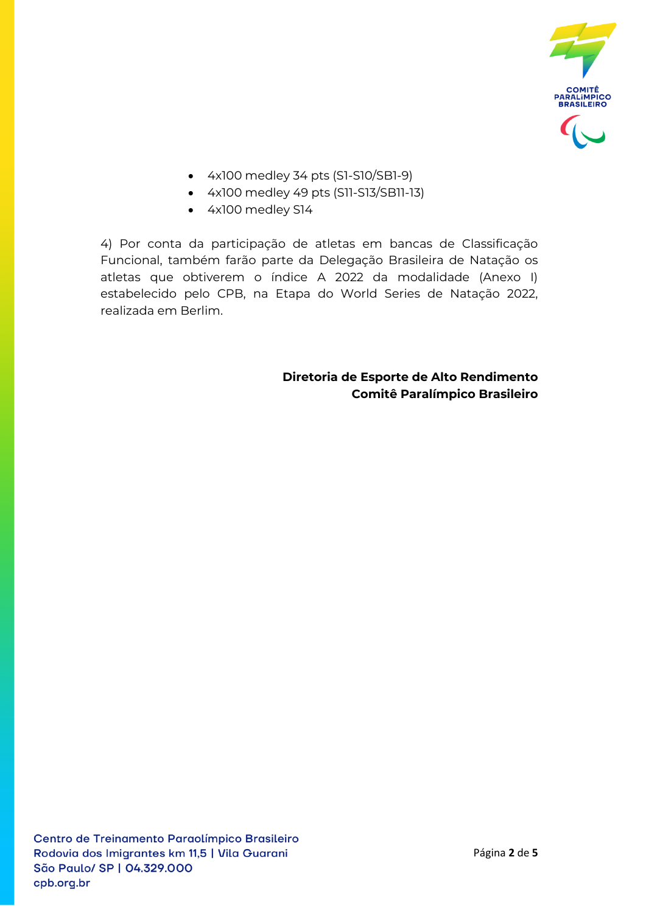

- 4x100 medley 34 pts (S1-S10/SB1-9)
- 4x100 medley 49 pts (S11-S13/SB11-13)
- 4x100 medley S14

4) Por conta da participação de atletas em bancas de Classificação Funcional, também farão parte da Delegação Brasileira de Natação os atletas que obtiverem o índice A 2022 da modalidade (Anexo I) estabelecido pelo CPB, na Etapa do World Series de Natação 2022, realizada em Berlim.

> **Diretoria de Esporte de Alto Rendimento Comitê Paralímpico Brasileiro**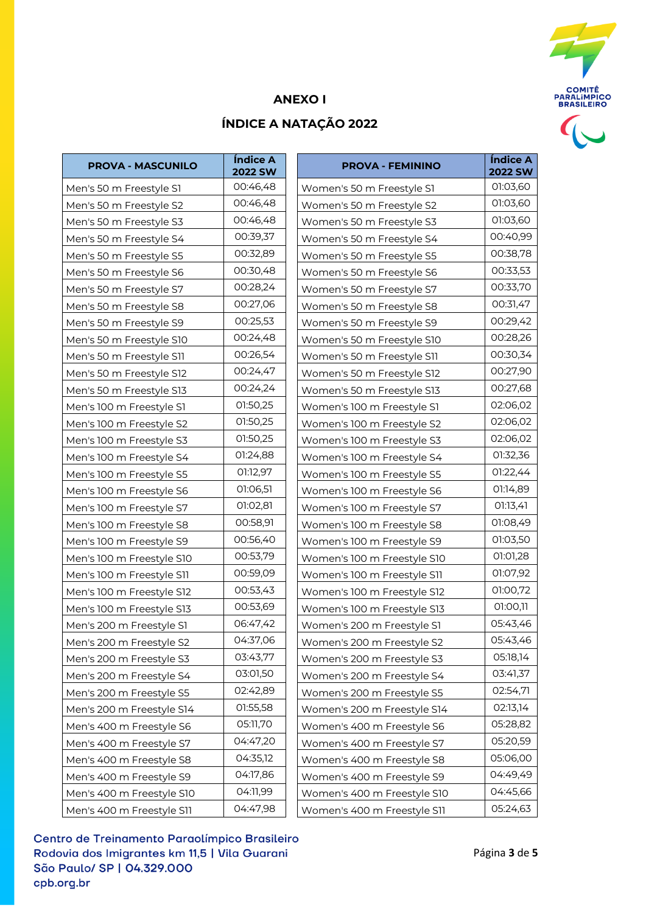

## **ANEXO I**

## **ÍNDICE A NATAÇÃO 2022**

| <b>PROVA - MASCUNILO</b>  | Índice A<br><b>2022 SW</b> | <b>PROVA - FEMININO</b>     | Índice A<br><b>2022 SW</b> |
|---------------------------|----------------------------|-----------------------------|----------------------------|
| Men's 50 m Freestyle S1   | 00:46,48                   | Women's 50 m Freestyle S1   | 01:03,60                   |
| Men's 50 m Freestyle S2   | 00:46,48                   | Women's 50 m Freestyle S2   | 01:03,60                   |
| Men's 50 m Freestyle S3   | 00:46,48                   | Women's 50 m Freestyle S3   | 01:03,60                   |
| Men's 50 m Freestyle S4   | 00:39,37                   | Women's 50 m Freestyle S4   | 00:40,99                   |
| Men's 50 m Freestyle S5   | 00:32,89                   | Women's 50 m Freestyle S5   | 00:38,78                   |
| Men's 50 m Freestyle S6   | 00:30,48                   | Women's 50 m Freestyle S6   | 00:33,53                   |
| Men's 50 m Freestyle S7   | 00:28,24                   | Women's 50 m Freestyle S7   | 00:33,70                   |
| Men's 50 m Freestyle S8   | 00:27,06                   | Women's 50 m Freestyle S8   | 00:31,47                   |
| Men's 50 m Freestyle S9   | 00:25,53                   | Women's 50 m Freestyle S9   | 00:29,42                   |
| Men's 50 m Freestyle S10  | 00:24,48                   | Women's 50 m Freestyle S10  | 00:28,26                   |
| Men's 50 m Freestyle S11  | 00:26,54                   | Women's 50 m Freestyle S11  | 00:30,34                   |
| Men's 50 m Freestyle S12  | 00:24,47                   | Women's 50 m Freestyle S12  | 00:27,90                   |
| Men's 50 m Freestyle S13  | 00:24,24                   | Women's 50 m Freestyle S13  | 00:27,68                   |
| Men's 100 m Freestyle S1  | 01:50,25                   | Women's 100 m Freestyle S1  | 02:06,02                   |
| Men's 100 m Freestyle S2  | 01:50,25                   | Women's 100 m Freestyle S2  | 02:06,02                   |
| Men's 100 m Freestyle S3  | 01:50,25                   | Women's 100 m Freestyle S3  | 02:06,02                   |
| Men's 100 m Freestyle S4  | 01:24,88                   | Women's 100 m Freestyle S4  | 01:32,36                   |
| Men's 100 m Freestyle S5  | 01:12,97                   | Women's 100 m Freestyle S5  | 01:22,44                   |
| Men's 100 m Freestyle S6  | 01:06,51                   | Women's 100 m Freestyle S6  | 01:14,89                   |
| Men's 100 m Freestyle S7  | 01:02,81                   | Women's 100 m Freestyle S7  | 01:13,41                   |
| Men's 100 m Freestyle S8  | 00:58,91                   | Women's 100 m Freestyle S8  | 01:08,49                   |
| Men's 100 m Freestyle S9  | 00:56,40                   | Women's 100 m Freestyle S9  | 01:03,50                   |
| Men's 100 m Freestyle S10 | 00:53,79                   | Women's 100 m Freestyle S10 | 01:01,28                   |
| Men's 100 m Freestyle S11 | 00:59,09                   | Women's 100 m Freestyle S11 | 01:07,92                   |
| Men's 100 m Freestyle S12 | 00:53,43                   | Women's 100 m Freestyle S12 | 01:00,72                   |
| Men's 100 m Freestyle S13 | 00:53,69                   | Women's 100 m Freestyle S13 | 01:00,11                   |
| Men's 200 m Freestyle S1  | 06:47,42                   | Women's 200 m Freestyle S1  | 05:43,46                   |
| Men's 200 m Freestyle S2  | 04:37,06                   | Women's 200 m Freestyle S2  | 05:43,46                   |
| Men's 200 m Freestyle S3  | 03:43,77                   | Women's 200 m Freestyle S3  | 05:18,14                   |
| Men's 200 m Freestyle S4  | 03:01,50                   | Women's 200 m Freestyle S4  | 03:41,37                   |
| Men's 200 m Freestyle S5  | 02:42,89                   | Women's 200 m Freestyle S5  | 02:54,71                   |
| Men's 200 m Freestyle S14 | 01:55,58                   | Women's 200 m Freestyle S14 | 02:13,14                   |
| Men's 400 m Freestyle S6  | 05:11,70                   | Women's 400 m Freestyle S6  | 05:28,82                   |
| Men's 400 m Freestyle S7  | 04:47,20                   | Women's 400 m Freestyle S7  | 05:20,59                   |
| Men's 400 m Freestyle S8  | 04:35,12                   | Women's 400 m Freestyle S8  | 05:06,00                   |
| Men's 400 m Freestyle S9  | 04:17,86                   | Women's 400 m Freestyle S9  | 04:49,49                   |
| Men's 400 m Freestyle S10 | 04:11,99                   | Women's 400 m Freestyle S10 | 04:45,66                   |
| Men's 400 m Freestyle S11 | 04:47,98                   | Women's 400 m Freestyle S11 | 05:24,63                   |

| Índice A<br>2022 SW | <b>PROVA - FEMININO</b>     | Índice A<br><b>2022 SW</b> |
|---------------------|-----------------------------|----------------------------|
| 00:46,48            | Women's 50 m Freestyle S1   | 01:03,60                   |
| 00:46,48            | Women's 50 m Freestyle S2   | 01:03,60                   |
| 00:46,48            | Women's 50 m Freestyle S3   | 01:03,60                   |
| 00:39,37            | Women's 50 m Freestyle S4   | 00:40,99                   |
| 00:32,89            | Women's 50 m Freestyle S5   | 00:38,78                   |
| 00:30,48            | Women's 50 m Freestyle S6   | 00:33,53                   |
| 00:28,24            | Women's 50 m Freestyle S7   | 00:33,70                   |
| 00:27,06            | Women's 50 m Freestyle S8   | 00:31,47                   |
| 00:25,53            | Women's 50 m Freestyle S9   | 00:29,42                   |
| 00:24,48            | Women's 50 m Freestyle S10  | 00:28,26                   |
| 00:26,54            | Women's 50 m Freestyle S11  | 00:30,34                   |
| 00:24,47            | Women's 50 m Freestyle S12  | 00:27,90                   |
| 00:24,24            | Women's 50 m Freestyle S13  | 00:27,68                   |
| 01:50,25            | Women's 100 m Freestyle S1  | 02:06,02                   |
| 01:50,25            | Women's 100 m Freestyle S2  | 02:06,02                   |
| 01:50,25            | Women's 100 m Freestyle S3  | 02:06,02                   |
| 01:24,88            | Women's 100 m Freestyle S4  | 01:32,36                   |
| 01:12,97            | Women's 100 m Freestyle S5  | 01:22,44                   |
| 01:06,51            | Women's 100 m Freestyle S6  | 01:14,89                   |
| 01:02,81            | Women's 100 m Freestyle S7  | 01:13,41                   |
| 00:58,91            | Women's 100 m Freestyle S8  | 01:08,49                   |
| 00:56,40            | Women's 100 m Freestyle S9  | 01:03,50                   |
| 00:53,79            | Women's 100 m Freestyle S10 | 01:01,28                   |
| 00:59,09            | Women's 100 m Freestyle S11 | 01:07,92                   |
| 00:53,43            | Women's 100 m Freestyle S12 | 01:00,72                   |
| 00:53,69            | Women's 100 m Freestyle S13 | 01:00,11                   |
| 06:47,42            | Women's 200 m Freestyle S1  | 05:43,46                   |
| 04:37,06            | Women's 200 m Freestyle S2  | 05:43,46                   |
| 03:43,77            | Women's 200 m Freestyle S3  | 05:18,14                   |
| 03:01,50            | Women's 200 m Freestyle S4  | 03:41,37                   |
| 02:42,89            | Women's 200 m Freestyle S5  | 02:54,71                   |
| 01:55,58            | Women's 200 m Freestyle S14 | 02:13,14                   |
| 05:11,70            | Women's 400 m Freestyle S6  | 05:28,82                   |
| 04:47,20            | Women's 400 m Freestyle S7  | 05:20,59                   |
| 04:35,12            | Women's 400 m Freestyle S8  | 05:06,00                   |
| 04:17,86            | Women's 400 m Freestyle S9  | 04:49,49                   |
| 04:11,99            | Women's 400 m Freestyle S10 | 04:45,66                   |
| 04:47,98            | Women's 400 m Freestyle S11 | 05:24,63                   |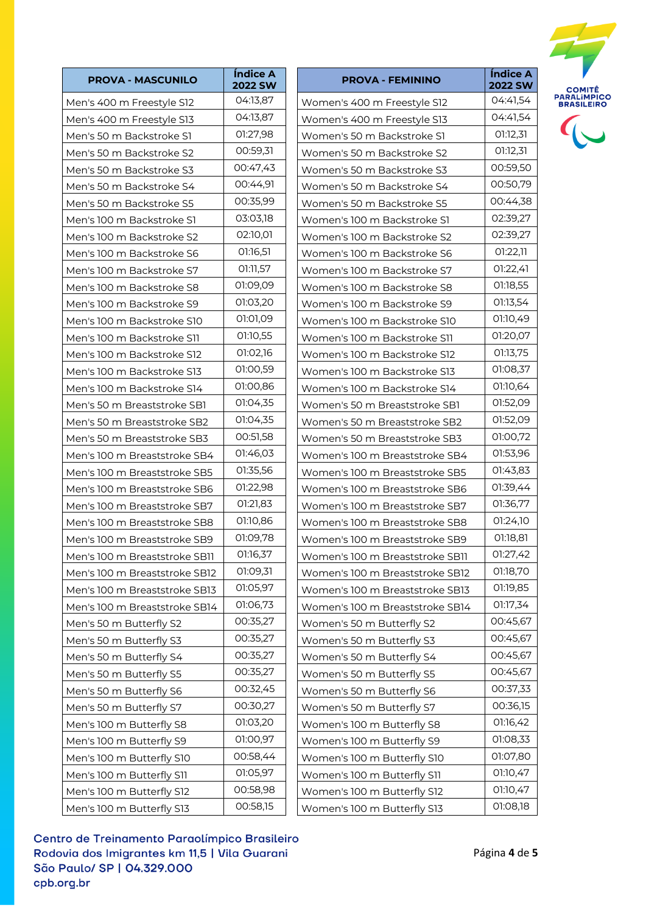| Índice A<br><b>PROVA - MASCUNILO</b><br><b>2022 SW</b>              | <b>PROVA - FEMININO</b>                                      |
|---------------------------------------------------------------------|--------------------------------------------------------------|
| 04:13,87<br>Men's 400 m Freestyle S12                               | Women's 400 m Freestyle S12                                  |
| 04:13,87<br>Men's 400 m Freestyle S13                               | Women's 400 m Freestyle S13                                  |
| 01:27,98<br>Men's 50 m Backstroke S1                                | Women's 50 m Backstroke S1                                   |
| 00:59,31<br>Men's 50 m Backstroke S2                                | Women's 50 m Backstroke S2                                   |
| 00:47,43<br>Men's 50 m Backstroke S3                                | Women's 50 m Backstroke S3                                   |
| 00:44,91<br>Men's 50 m Backstroke S4                                | Women's 50 m Backstroke S4                                   |
| 00:35,99<br>Men's 50 m Backstroke S5                                | Women's 50 m Backstroke S5                                   |
| 03:03,18<br>Men's 100 m Backstroke S1                               | Women's 100 m Backstroke S1                                  |
| 02:10,01<br>Men's 100 m Backstroke S2                               | Women's 100 m Backstroke S2                                  |
| 01:16,51<br>Men's 100 m Backstroke S6                               | Women's 100 m Backstroke S6                                  |
| 01:11,57<br>Men's 100 m Backstroke S7                               | Women's 100 m Backstroke S7                                  |
| 01:09,09<br>Men's 100 m Backstroke S8                               | Women's 100 m Backstroke S8                                  |
| 01:03,20                                                            | Women's 100 m Backstroke S9                                  |
| Men's 100 m Backstroke S9<br>01:01,09<br>Men's 100 m Backstroke S10 | Women's 100 m Backstroke S10                                 |
| 01:10,55                                                            |                                                              |
| Men's 100 m Backstroke S11<br>01:02,16                              | Women's 100 m Backstroke S11                                 |
| Men's 100 m Backstroke S12<br>01:00,59                              | Women's 100 m Backstroke S12<br>Women's 100 m Backstroke S13 |
| Men's 100 m Backstroke S13<br>01:00,86                              |                                                              |
| Men's 100 m Backstroke S14<br>01:04,35                              | Women's 100 m Backstroke S14                                 |
| Men's 50 m Breaststroke SB1<br>01:04,35                             | Women's 50 m Breaststroke SB1                                |
| Men's 50 m Breaststroke SB2<br>00:51,58                             | Women's 50 m Breaststroke SB2                                |
| Men's 50 m Breaststroke SB3<br>01:46,03                             | Women's 50 m Breaststroke SB3                                |
| Men's 100 m Breaststroke SB4<br>01:35,56                            | Women's 100 m Breaststroke SB4                               |
| Men's 100 m Breaststroke SB5                                        | Women's 100 m Breaststroke SB5                               |
| 01:22,98<br>Men's 100 m Breaststroke SB6                            | Women's 100 m Breaststroke SB6                               |
| 01:21,83<br>Men's 100 m Breaststroke SB7                            | Women's 100 m Breaststroke SB7                               |
| 01:10,86<br>Men's 100 m Breaststroke SB8                            | Women's 100 m Breaststroke SB8                               |
| 01:09,78<br>Men's 100 m Breaststroke SB9                            | Women's 100 m Breaststroke SB9                               |
| 01:16,37<br>Men's 100 m Breaststroke SB11                           | Women's 100 m Breaststroke SB11                              |
| 01:09,31<br>Men's 100 m Breaststroke SB12                           | Women's 100 m Breaststroke SB12                              |
| 01:05,97<br>Men's 100 m Breaststroke SB13                           | Women's 100 m Breaststroke SB13                              |
| 01:06,73<br>Men's 100 m Breaststroke SB14                           | Women's 100 m Breaststroke SB14                              |
| 00:35,27<br>Men's 50 m Butterfly S2                                 | Women's 50 m Butterfly S2                                    |
| 00:35,27<br>Men's 50 m Butterfly S3                                 | Women's 50 m Butterfly S3                                    |
| 00:35,27<br>Men's 50 m Butterfly S4                                 | Women's 50 m Butterfly S4                                    |
| 00:35,27<br>Men's 50 m Butterfly S5                                 | Women's 50 m Butterfly S5                                    |
| 00:32,45<br>Men's 50 m Butterfly S6                                 | Women's 50 m Butterfly S6                                    |
| 00:30,27<br>Men's 50 m Butterfly S7                                 | Women's 50 m Butterfly S7                                    |
| 01:03,20<br>Men's 100 m Butterfly S8                                | Women's 100 m Butterfly S8                                   |
| 01:00,97<br>Men's 100 m Butterfly S9                                | Women's 100 m Butterfly S9                                   |
| 00:58,44<br>Men's 100 m Butterfly S10                               | Women's 100 m Butterfly S10                                  |
| 01:05,97<br>Men's 100 m Butterfly S11                               | Women's 100 m Butterfly S11                                  |
| 00:58,98<br>Men's 100 m Butterfly S12                               | Women's 100 m Butterfly S12                                  |
| 00:58,15<br>Men's 100 m Butterfly S13                               | Women's 100 m Butterfly S13                                  |